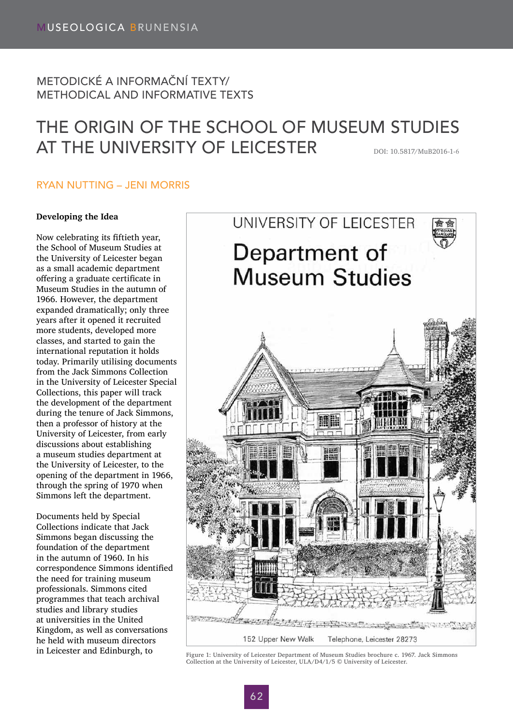# METODICKÉ A INFORMAČNÍ TEXTY/ METHODICAL AND INFORMATIVE TEXTS

# THE ORIGIN OF THE SCHOOL OF MUSEUM STUDIES AT THE UNIVERSITY OF LEICESTER DOI: 10.5817/MuB2016-1-6

## RYAN NUTTING – JENI MORRIS

### **Developing the Idea**

Now celebrating its fiftieth year, the School of Museum Studies at the University of Leicester began as a small academic department offering a graduate certificate in Museum Studies in the autumn of 1966. However, the department expanded dramatically; only three years after it opened it recruited more students, developed more classes, and started to gain the international reputation it holds today. Primarily utilising documents from the Jack Simmons Collection in the University of Leicester Special Collections, this paper will track the development of the department during the tenure of Jack Simmons, then a professor of history at the University of Leicester, from early discussions about establishing a museum studies department at the University of Leicester, to the opening of the department in 1966, through the spring of 1970 when Simmons left the department.

Documents held by Special Collections indicate that Jack Simmons began discussing the foundation of the department in the autumn of 1960. In his correspondence Simmons identified the need for training museum professionals. Simmons cited programmes that teach archival studies and library studies at universities in the United Kingdom, as well as conversations he held with museum directors



in Leicester and Edinburgh, to Figure 1: University of Leicester Department of Museum Studies brochure c. 1967. Jack Simmons Collection at the University of Leicester, ULA/D4/1/5 © University of Leicester.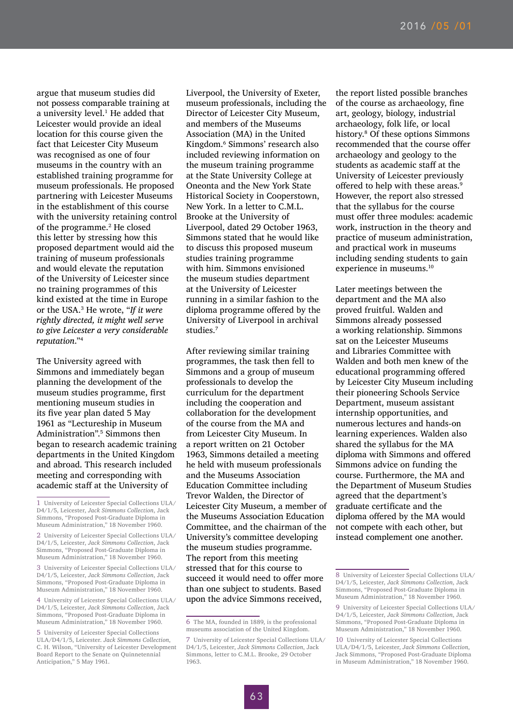argue that museum studies did not possess comparable training at a university level.<sup>1</sup> He added that Leicester would provide an ideal location for this course given the fact that Leicester City Museum was recognised as one of four museums in the country with an established training programme for museum professionals. He proposed partnering with Leicester Museums in the establishment of this course with the university retaining control of the programme.2 He closed this letter by stressing how this proposed department would aid the training of museum professionals and would elevate the reputation of the University of Leicester since no training programmes of this kind existed at the time in Europe or the USA.<sup>3</sup> He wrote, "*If it were rightly directed, it might well serve to give Leicester a very considerable reputation*."<sup>4</sup>

The University agreed with Simmons and immediately began planning the development of the museum studies programme, first mentioning museum studies in its five year plan dated 5 May 1961 as "Lectureship in Museum Administration".5 Simmons then began to research academic training departments in the United Kingdom and abroad. This research included meeting and corresponding with academic staff at the University of

3 University of Leicester Special Collections ULA/ D4/1/5, Leicester, *Jack Simmons Collection*, Jack Simmons, "Proposed Post-Graduate Diploma in Museum Administration," 18 November 1960.

4 University of Leicester Special Collections ULA/ D4/1/5, Leicester, *Jack Simmons Collection*, Jack Simmons, "Proposed Post-Graduate Diploma in Museum Administration," 18 November 1960.

Liverpool, the University of Exeter, museum professionals, including the Director of Leicester City Museum, and members of the Museums Association (MA) in the United Kingdom.<sup>6</sup> Simmons' research also included reviewing information on the museum training programme at the State University College at Oneonta and the New York State Historical Society in Cooperstown, New York. In a letter to C.M.L. Brooke at the University of Liverpool, dated 29 October 1963, Simmons stated that he would like to discuss this proposed museum studies training programme with him. Simmons envisioned the museum studies department at the University of Leicester running in a similar fashion to the diploma programme offered by the University of Liverpool in archival studies.7

After reviewing similar training programmes, the task then fell to Simmons and a group of museum professionals to develop the curriculum for the department including the cooperation and collaboration for the development of the course from the MA and from Leicester City Museum. In a report written on 21 October 1963, Simmons detailed a meeting he held with museum professionals and the Museums Association Education Committee including Trevor Walden, the Director of Leicester City Museum, a member of the Museums Association Education Committee, and the chairman of the University's committee developing the museum studies programme. The report from this meeting stressed that for this course to succeed it would need to offer more than one subject to students. Based upon the advice Simmons received,

the report listed possible branches of the course as archaeology, fine art, geology, biology, industrial archaeology, folk life, or local history.8 Of these options Simmons recommended that the course offer archaeology and geology to the students as academic staff at the University of Leicester previously offered to help with these areas.<sup>9</sup> However, the report also stressed that the syllabus for the course must offer three modules: academic work, instruction in the theory and practice of museum administration, and practical work in museums including sending students to gain experience in museums.<sup>10</sup>

Later meetings between the department and the MA also proved fruitful. Walden and Simmons already possessed a working relationship. Simmons sat on the Leicester Museums and Libraries Committee with Walden and both men knew of the educational programming offered by Leicester City Museum including their pioneering Schools Service Department, museum assistant internship opportunities, and numerous lectures and hands-on learning experiences. Walden also shared the syllabus for the MA diploma with Simmons and offered Simmons advice on funding the course. Furthermore, the MA and the Department of Museum Studies agreed that the department's graduate certificate and the diploma offered by the MA would not compete with each other, but instead complement one another.

<sup>1</sup> University of Leicester Special Collections ULA/ D4/1/5, Leicester, *Jack Simmons Collection*, Jack Simmons, "Proposed Post-Graduate Diploma in Museum Administration," 18 November 1960.

<sup>2</sup> University of Leicester Special Collections ULA/ D4/1/5, Leicester, *Jack Simmons Collection*, Jack Simmons, "Proposed Post-Graduate Diploma in Museum Administration," 18 November 1960.

<sup>5</sup> University of Leicester Special Collections ULA/D4/1/5, Leicester. *Jack Simmons Collection*, C. H. Wilson, "University of Leicester Development Board Report to the Senate on Quinnetennial Anticipation," 5 May 1961.

<sup>6</sup> The MA, founded in 1889, is the professional museums association of the United Kingdom.

<sup>7</sup> University of Leicester Special Collections ULA/ D4/1/5, Leicester, *Jack Simmons Collection*, Jack Simmons, letter to C.M.L. Brooke, 29 October 1963.

<sup>8</sup> University of Leicester Special Collections ULA/ D4/1/5, Leicester, *Jack Simmons Collection*, Jack Simmons, "Proposed Post-Graduate Diploma in Museum Administration," 18 November 1960.

<sup>9</sup> University of Leicester Special Collections ULA/ D4/1/5, Leicester, *Jack Simmons Collection*, Jack Simmons, "Proposed Post-Graduate Diploma in Museum Administration," 18 November 1960.

<sup>10</sup> University of Leicester Special Collections ULA/D4/1/5, Leicester, *Jack Simmons Collection*, Jack Simmons, "Proposed Post-Graduate Diploma in Museum Administration," 18 November 1960.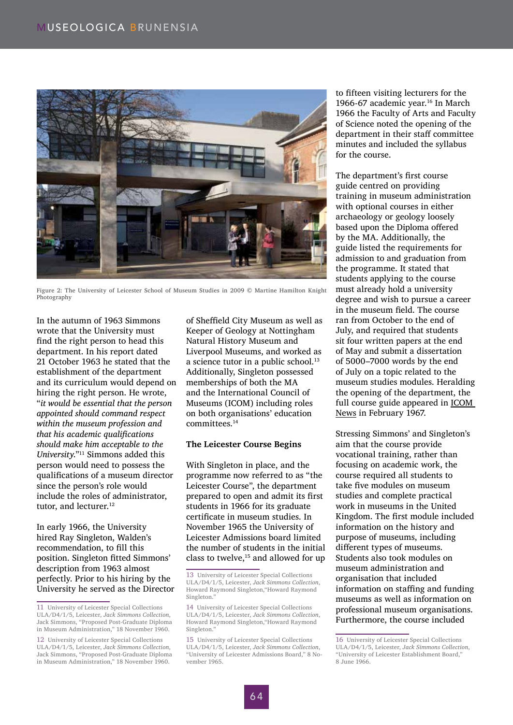

Figure 2: The University of Leicester School of Museum Studies in 2009 © Martine Hamilton Knight Photography

In the autumn of 1963 Simmons wrote that the University must find the right person to head this department. In his report dated 21 October 1963 he stated that the establishment of the department and its curriculum would depend on hiring the right person. He wrote, "*it would be essential that the person appointed should command respect within the museum profession and that his academic qualifications should make him acceptable to the University*."11 Simmons added this person would need to possess the qualifications of a museum director since the person's role would include the roles of administrator, tutor, and lecturer.<sup>12</sup>

In early 1966, the University hired Ray Singleton, Walden's recommendation, to fill this position. Singleton fitted Simmons' description from 1963 almost perfectly. Prior to his hiring by the University he served as the Director

of Sheffield City Museum as well as Keeper of Geology at Nottingham Natural History Museum and Liverpool Museums, and worked as a science tutor in a public school.<sup>13</sup> Additionally, Singleton possessed memberships of both the MA and the International Council of Museums (ICOM) including roles on both organisations' education committees.14

#### **The Leicester Course Begins**

With Singleton in place, and the programme now referred to as "the Leicester Course", the department prepared to open and admit its first students in 1966 for its graduate certificate in museum studies. In November 1965 the University of Leicester Admissions board limited the number of students in the initial class to twelve, $15$  and allowed for up to fifteen visiting lecturers for the 1966-67 academic year.<sup>16</sup> In March 1966 the Faculty of Arts and Faculty of Science noted the opening of the department in their staff committee minutes and included the syllabus for the course.

The department's first course guide centred on providing training in museum administration with optional courses in either archaeology or geology loosely based upon the Diploma offered by the MA. Additionally, the guide listed the requirements for admission to and graduation from the programme. It stated that students applying to the course must already hold a university degree and wish to pursue a career in the museum field. The course ran from October to the end of July, and required that students sit four written papers at the end of May and submit a dissertation of 5000–7000 words by the end of July on a topic related to the museum studies modules. Heralding the opening of the department, the full course guide appeared in ICOM News in February 1967.

Stressing Simmons' and Singleton's aim that the course provide vocational training, rather than focusing on academic work, the course required all students to take five modules on museum studies and complete practical work in museums in the United Kingdom. The first module included information on the history and purpose of museums, including different types of museums. Students also took modules on museum administration and organisation that included information on staffing and funding museums as well as information on professional museum organisations. Furthermore, the course included

<sup>11</sup> University of Leicester Special Collections ULA/D4/1/5, Leicester, *Jack Simmons Collection*, Jack Simmons, "Proposed Post-Graduate Diploma in Museum Administration," 18 November 1960.

<sup>12</sup> University of Leicester Special Collections ULA/D4/1/5, Leicester, *Jack Simmons Collection*, Jack Simmons, "Proposed Post-Graduate Diploma in Museum Administration," 18 November 1960.

<sup>13</sup> University of Leicester Special Collections ULA/D4/1/5, Leicester, *Jack Simmons Collection*, Howard Raymond Singleton,"Howard Raymond Singleton."

<sup>14</sup> University of Leicester Special Collections ULA/D4/1/5, Leicester, *Jack Simmons Collection*, Howard Raymond Singleton,"Howard Raymond Singleton."

<sup>15</sup> University of Leicester Special Collections ULA/D4/1/5, Leicester, *Jack Simmons Collection*, "University of Leicester Admissions Board," 8 November 1965.

<sup>16</sup> University of Leicester Special Collections ULA/D4/1/5, Leicester, *Jack Simmons Collection*, "University of Leicester Establishment Board," 8 June 1966.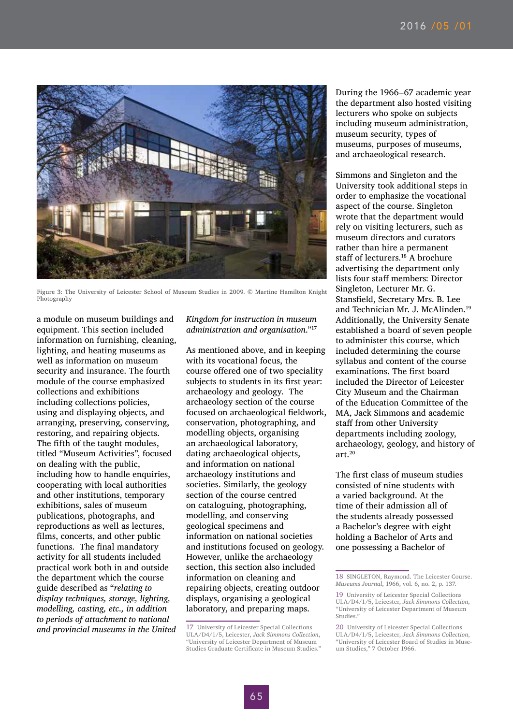

Figure 3: The University of Leicester School of Museum Studies in 2009. © Martine Hamilton Knight Photography

a module on museum buildings and equipment. This section included information on furnishing, cleaning, lighting, and heating museums as well as information on museum security and insurance. The fourth module of the course emphasized collections and exhibitions including collections policies, using and displaying objects, and arranging, preserving, conserving, restoring, and repairing objects. The fifth of the taught modules, titled "Museum Activities", focused on dealing with the public, including how to handle enquiries, cooperating with local authorities and other institutions, temporary exhibitions, sales of museum publications, photographs, and reproductions as well as lectures, films, concerts, and other public functions. The final mandatory activity for all students included practical work both in and outside the department which the course guide described as "*relating to display techniques, storage, lighting, modelling, casting, etc., in addition to periods of attachment to national and provincial museums in the United* 

### *Kingdom for instruction in museum administration and organisation*."<sup>17</sup>

As mentioned above, and in keeping with its vocational focus, the course offered one of two speciality subjects to students in its first year: archaeology and geology. The archaeology section of the course focused on archaeological fieldwork, conservation, photographing, and modelling objects, organising an archaeological laboratory, dating archaeological objects, and information on national archaeology institutions and societies. Similarly, the geology section of the course centred on cataloguing, photographing, modelling, and conserving geological specimens and information on national societies and institutions focused on geology. However, unlike the archaeology section, this section also included information on cleaning and repairing objects, creating outdoor displays, organising a geological laboratory, and preparing maps.

During the 1966–67 academic year the department also hosted visiting lecturers who spoke on subjects including museum administration, museum security, types of museums, purposes of museums, and archaeological research.

Simmons and Singleton and the University took additional steps in order to emphasize the vocational aspect of the course. Singleton wrote that the department would rely on visiting lecturers, such as museum directors and curators rather than hire a permanent staff of lecturers.18 A brochure advertising the department only lists four staff members: Director Singleton, Lecturer Mr. G. Stansfield, Secretary Mrs. B. Lee and Technician Mr. J. McAlinden.<sup>19</sup> Additionally, the University Senate established a board of seven people to administer this course, which included determining the course syllabus and content of the course examinations. The first board included the Director of Leicester City Museum and the Chairman of the Education Committee of the MA, Jack Simmons and academic staff from other University departments including zoology, archaeology, geology, and history of art.<sup>20</sup>

The first class of museum studies consisted of nine students with a varied background. At the time of their admission all of the students already possessed a Bachelor's degree with eight holding a Bachelor of Arts and one possessing a Bachelor of

<sup>17</sup> University of Leicester Special Collections ULA/D4/1/5, Leicester, *Jack Simmons Collection*, "University of Leicester Department of Museum Studies Graduate Certificate in Museum Studies."

<sup>18</sup> SINGLETON, Raymond. The Leicester Course. *Museums Journal*, 1966, vol. 6, no. 2, p. 137.

<sup>19</sup> University of Leicester Special Collections ULA/D4/1/5, Leicester, *Jack Simmons Collection*, "University of Leicester Department of Museum Studies."

<sup>20</sup> University of Leicester Special Collections ULA/D4/1/5, Leicester, *Jack Simmons Collection*, "University of Leicester Board of Studies in Museum Studies," 7 October 1966.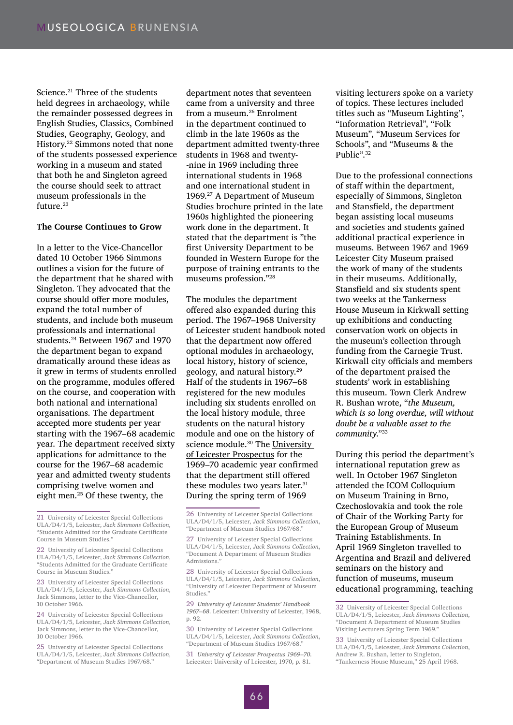Science.<sup>21</sup> Three of the students held degrees in archaeology, while the remainder possessed degrees in English Studies, Classics, Combined Studies, Geography, Geology, and History.22 Simmons noted that none of the students possessed experience working in a museum and stated that both he and Singleton agreed the course should seek to attract museum professionals in the future.<sup>23</sup>

#### **The Course Continues to Grow**

In a letter to the Vice-Chancellor dated 10 October 1966 Simmons outlines a vision for the future of the department that he shared with Singleton. They advocated that the course should offer more modules, expand the total number of students, and include both museum professionals and international students.24 Between 1967 and 1970 the department began to expand dramatically around these ideas as it grew in terms of students enrolled on the programme, modules offered on the course, and cooperation with both national and international organisations. The department accepted more students per year starting with the 1967–68 academic year. The department received sixty applications for admittance to the course for the 1967–68 academic year and admitted twenty students comprising twelve women and eight men.25 Of these twenty, the

23 University of Leicester Special Collections ULA/D4/1/5, Leicester, *Jack Simmons Collection*, Jack Simmons, letter to the Vice-Chancellor, 10 October 1966.

24 University of Leicester Special Collections ULA/D4/1/5, Leicester, *Jack Simmons Collection*, Jack Simmons, letter to the Vice-Chancellor, 10 October 1966.

25 University of Leicester Special Collections ULA/D4/1/5, Leicester, *Jack Simmons Collection*, "Department of Museum Studies 1967/68."

department notes that seventeen came from a university and three from a museum.26 Enrolment in the department continued to climb in the late 1960s as the department admitted twenty-three students in 1968 and twenty- -nine in 1969 including three international students in 1968 and one international student in 1969.27 A Department of Museum Studies brochure printed in the late 1960s highlighted the pioneering work done in the department. It stated that the department is "the first University Department to be founded in Western Europe for the purpose of training entrants to the museums profession."28

The modules the department offered also expanded during this period. The 1967–1968 University of Leicester student handbook noted that the department now offered optional modules in archaeology, local history, history of science, geology, and natural history.29 Half of the students in 1967–68 registered for the new modules including six students enrolled on the local history module, three students on the natural history module and one on the history of science module.<sup>30</sup> The University of Leicester Prospectus for the 1969–70 academic year confirmed that the department still offered these modules two years later.<sup>31</sup> During the spring term of 1969

29 *University of Leicester Students' Handbook 1967–68*. Leicester: University of Leicester, 1968, p. 92.

30 University of Leicester Special Collections ULA/D4/1/5, Leicester, *Jack Simmons Collection*, "Department of Museum Studies 1967/68."

31 *University of Leicester Prospectus 1969–70*. Leicester: University of Leicester, 1970, p. 81.

visiting lecturers spoke on a variety of topics. These lectures included titles such as "Museum Lighting", "Information Retrieval", "Folk Museum", "Museum Services for Schools", and "Museums & the Public".<sup>32</sup>

Due to the professional connections of staff within the department, especially of Simmons, Singleton and Stansfield, the department began assisting local museums and societies and students gained additional practical experience in museums. Between 1967 and 1969 Leicester City Museum praised the work of many of the students in their museums. Additionally, Stansfield and six students spent two weeks at the Tankerness House Museum in Kirkwall setting up exhibitions and conducting conservation work on objects in the museum's collection through funding from the Carnegie Trust. Kirkwall city officials and members of the department praised the students' work in establishing this museum. Town Clerk Andrew R. Bushan wrote, "*the Museum, which is so long overdue, will without doubt be a valuable asset to the community*."33

During this period the department's international reputation grew as well. In October 1967 Singleton attended the ICOM Colloquium on Museum Training in Brno, Czechoslovakia and took the role of Chair of the Working Party for the European Group of Museum Training Establishments. In April 1969 Singleton travelled to Argentina and Brazil and delivered seminars on the history and function of museums, museum educational programming, teaching

<sup>21</sup> University of Leicester Special Collections ULA/D4/1/5, Leicester, *Jack Simmons Collection*, "Students Admitted for the Graduate Certificate Course in Museum Studies."

<sup>22</sup> University of Leicester Special Collections ULA/D4/1/5, Leicester, *Jack Simmons Collection*, "Students Admitted for the Graduate Certificate Course in Museum Studies."

<sup>26</sup> University of Leicester Special Collections ULA/D4/1/5, Leicester, *Jack Simmons Collection*, "Department of Museum Studies 1967/68."

<sup>27</sup> University of Leicester Special Collections ULA/D4/1/5, Leicester, *Jack Simmons Collection*, "Document A Department of Museum Studies Admissions."

<sup>28</sup> University of Leicester Special Collections ULA/D4/1/5, Leicester, *Jack Simmons Collection*, "University of Leicester Department of Museum Studies."

<sup>32</sup> University of Leicester Special Collections ULA/D4/1/5, Leicester, *Jack Simmons Collection*, "Document A Department of Museum Studies Visiting Lecturers Spring Term 1969."

<sup>33</sup> University of Leicester Special Collections ULA/D4/1/5, Leicester, *Jack Simmons Collection*, Andrew R. Bushan, letter to Singleton, "Tankerness House Museum," 25 April 1968.